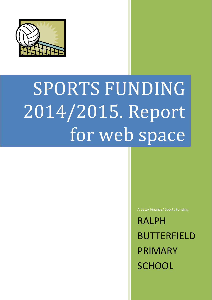

# SPORTS FUNDING 2014/2015. Report for web space

A data/ Finance/ Sports Funding

RALPH BUTTERFIELD PRIMARY **SCHOOL**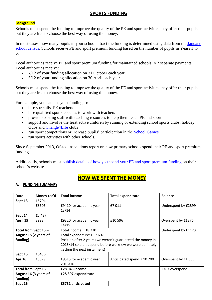#### **SPORTS FUNDING**

#### **Background**

Schools must spend the funding to improve the quality of the PE and sport activities they offer their pupils, but they are free to choose the best way of using the money.

In most cases, how many pupils in your school attract the funding is determined using data from the [January](https://www.gov.uk/government/statistics/schools-pupils-and-their-characteristics-january-2014)  [school census.](https://www.gov.uk/government/statistics/schools-pupils-and-their-characteristics-january-2014) Schools receive PE and sport premium funding based on the number of pupils in Years 1 to 6.

Local authorities receive PE and sport premium funding for maintained schools in 2 separate payments. Local authorities receive:

- 7/12 of your funding allocation on 31 October each year
- 5/12 of your funding allocation on 30 April each year

Schools must spend the funding to improve the quality of the PE and sport activities they offer their pupils, but they are free to choose the best way of using the money.

For example, you can use your funding to:

- hire specialist PE teachers
- hire qualified sports coaches to work with teachers
- provide existing staff with teaching resources to help them teach PE and sport
- support and involve the least active children by running or extending school sports clubs, holiday clubs and [Change4Life](http://www.nhs.uk/change4life/Pages/change-for-life.aspx) clubs
- run sport competitions or increase pupils' participation in the [School Games](https://www.gov.uk/government/policies/getting-more-people-playing-sport/supporting-pages/the-school-games)
- run sports activities with other schools.

Since September 2013, Ofsted inspections report on how primary schools spend their PE and sport premium funding.

Additionally, schools must [publish details of how you spend your PE and sport premium funding](https://www.gov.uk/what-maintained-schools-must-publish-online#pe-and-sport-premium-for-primary-schools) on their school's website

### **HOW WE SPENT THE MONEY**

#### **A. FUNDING SUMMARY**

| Date                  | Money rec'd | <b>Total income</b>                                        | <b>Total expenditure</b>   | <b>Balance</b>      |
|-----------------------|-------------|------------------------------------------------------------|----------------------------|---------------------|
| Sept 13               | £5704       |                                                            |                            |                     |
|                       | £3606       | £9410 for academic year                                    | £7011                      | Underspent by £2399 |
|                       |             | 13/14                                                      |                            |                     |
| Sept 14               | £5437       |                                                            |                            |                     |
| April 15              | 3883        | £9320 for academic year                                    | £10 596                    | Overspent by £1276  |
|                       |             | 14/15                                                      |                            |                     |
| Total from Sept 13 -  |             | Total income: £18 730                                      |                            | Underspent by £1123 |
| August 15 (2 years of |             | Total expenditure: £17 607                                 |                            |                     |
| funding)              |             | Position after 2 years (we weren't guaranteed the money in |                            |                     |
|                       |             | 2013/14 so didn't spend before we knew we were definitely  |                            |                     |
|                       |             | getting the next instalment)                               |                            |                     |
| Sept 15               | £5436       |                                                            |                            |                     |
| <b>Apr 16</b>         | £3879       | £9315 for academic year                                    | Anticipated spend: £10 700 | Overspent by £1 385 |
|                       |             | 2015/16                                                    |                            |                     |
| Total from Sept 13 -  |             | £28 045 income                                             |                            | £262 overspend      |
| August 16 (3 years of |             | £28 307 expenditure                                        |                            |                     |
| funding)              |             |                                                            |                            |                     |
| Sept 16               |             | £5731 anticipated                                          |                            |                     |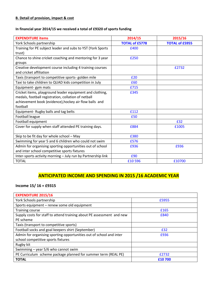#### **B. Detail of provision, impact & cost**

#### **In financial year 2014/15 we received a total of £9320 of sports funding**

| <b>EXPENDITURE items</b>                                     | 2014/15               | 2015/16               |
|--------------------------------------------------------------|-----------------------|-----------------------|
| York Schools partnership                                     | <b>TOTAL of £5778</b> | <b>TOTAL of £5955</b> |
| Training for PE subject leader and subs to YST (York Sports  | £400                  |                       |
| trust)                                                       |                       |                       |
| Chance to shine cricket coaching and mentoring for 3 year    | £250                  |                       |
| groups                                                       |                       |                       |
| Creative development course including 4 training courses     |                       | £2732                 |
| and cricket affiliation                                      |                       |                       |
| Taxis (transport to competitive sports- golden mile          | £20                   |                       |
| Taxi to take children to QUAD kids competition in July       | £60                   |                       |
| Equipment- gym mats                                          | £715                  |                       |
| Cricket items, playground leader equipment and clothing,     | £345                  |                       |
| medals, football registration, collation of netball          |                       |                       |
| achievement book (evidence), hockey air flow balls and       |                       |                       |
| football                                                     |                       |                       |
| Equipment- Rugby balls and tag belts                         | £112                  |                       |
| Football league                                              | £50                   |                       |
| Football equipment                                           |                       | £32                   |
| Cover for supply when staff attended PE training days.       | £884                  | £1005                 |
| Skip to be fit day for whole school - May                    | £380                  |                       |
| Swimming for year 5 and 6 children who could not swim        | £576                  |                       |
| Admin for organising sporting opportunities out of school    | £936                  | £936                  |
| and inter school competitive sports fixtures                 |                       |                       |
| Inter-sports activity morning - July run by Partnership link | £90                   |                       |
| <b>TOTAL</b>                                                 | £10596                | £10700                |

## **ANTICIPATED INCOME AND SPENDING IN 2015 /16 ACADEMIC YEAR**

#### **Income 15/ 16 = £9315**

| <b>EXPENDITURE 2015/16</b>                                            |        |
|-----------------------------------------------------------------------|--------|
| York Schools partnership                                              | £5955  |
| Sports equipment - renew some old equipment                           |        |
| <b>Training course</b>                                                | £165   |
| Supply costs for staff to attend training about PE assessment and new | £840   |
| PE scheme                                                             |        |
| Taxis (transport to competitive sports)                               |        |
| Football socks and goal keepers shirt (September)                     | £32    |
| Admin for organising sporting opportunities out of school and inter   | £936   |
| school competitive sports fixtures                                    |        |
| Rugby kit                                                             |        |
| Swimming $-$ year 5/6 who cannot swim                                 |        |
| PE Curriculum scheme package planned for summer term (REAL PE)        | £2732  |
| <b>TOTAL</b>                                                          | £10700 |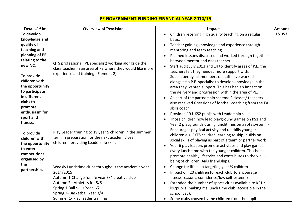## **PE GOVERNMENT FUNDING FINANCIAL YEAR 2014/15**

| <b>Details/Aim</b>                                                                                                                                                                                                                                                                                                                                                                   | <b>Overview of Provision</b>                                                                                                                                                                                                                            | Impact                                                                                                                                                                                                                                                                                                                                                                                                                                                                                                                                                                                                                                                                                                                                         | <b>Amount</b> |
|--------------------------------------------------------------------------------------------------------------------------------------------------------------------------------------------------------------------------------------------------------------------------------------------------------------------------------------------------------------------------------------|---------------------------------------------------------------------------------------------------------------------------------------------------------------------------------------------------------------------------------------------------------|------------------------------------------------------------------------------------------------------------------------------------------------------------------------------------------------------------------------------------------------------------------------------------------------------------------------------------------------------------------------------------------------------------------------------------------------------------------------------------------------------------------------------------------------------------------------------------------------------------------------------------------------------------------------------------------------------------------------------------------------|---------------|
| To develop<br>knowledge and<br>quality of<br>teaching and<br>planning of PE<br>relating to the<br>new NC.<br>To provide<br>children with<br>the opportunity<br>to participate<br>in different<br>clubs to<br>promote<br>enthusiasm for<br>sport and<br>fitness.<br>To provide<br>children with<br>the opportunity<br>to enter<br>competitions<br>organised by<br>the<br>partnership. | QTS professional (PE specialist) working alongside the<br>class teacher in an area of PE where they would like more<br>experience and training. (Element 2)                                                                                             | Children receiving high quality teaching on a regular<br>$\bullet$<br>basis.<br>Teacher gaining knowledge and experience through<br>mentoring and team teaching.<br>Planned lessons discussed and worked through together<br>between mentor and class teacher.<br>Staff audit July 2013 and 14 to identify areas of P.E. the<br>teachers felt they needed more support with.<br>Subsequently, all members of staff have worked<br>alongside a P.E. specialist to develop knowledge in the<br>area they wanted support. This has had an impact on<br>the delivery and progression within the area of PE.<br>As part of the partnership scheme 2 classes/ teachers<br>also received 6 sessions of football coaching from the FA<br>skills coach. | £5 353        |
|                                                                                                                                                                                                                                                                                                                                                                                      | Play Leader training to 19 year 5 children in the summer<br>term in preparation for the next academic year<br>children - providing Leadership skills                                                                                                    | Provided 19 UKS2 pupils with Leadership skills<br>$\bullet$<br>Those children now lead playground games on KS1 and<br>Year 2 playgrounds during lunchtimes on a rota system. -<br>Encourages physical activity and up skills younger<br>children e.g. EYFS children learning to skip, builds on<br>social skills of playing as part of a team or partner work<br>Year 6 play leaders promote activities and play games<br>every lunch time with the younger children. This helps<br>promote healthy lifestyles and contributes to the well -<br>being of children. Aids friendships.                                                                                                                                                           |               |
|                                                                                                                                                                                                                                                                                                                                                                                      | Weekly Lunchtime clubs throughout the academic year<br>2014/2015<br>Autumn 1-Change for life year 3/4 creative club<br>Autumn 2 - Athletics for 5/6<br>Spring 1-Ball skills Year 1/2<br>Spring 2- Basketball Year 3/4<br>Summer 1- Play leader training | Change for life club targeting year 34 children<br>Impact on 20 children for each club(to encourage<br>fitness reasons, confidence/low self-esteem)<br>Extended the number of sports clubs available to KS1 /<br>ks2pupils (making it a lunch time club, accessible in the<br>school day).<br>Some clubs chosen by the children from the pupil                                                                                                                                                                                                                                                                                                                                                                                                 |               |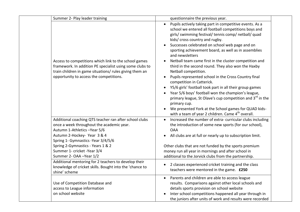| Summer 2- Play leader training                                                                                                                                                                                          | questionnaire the previous year.                                                                                                                                                                                                                                                                                                                                                                                                                                                                                                                                                                                                                                                                                                                                                                                                                                                                                                |
|-------------------------------------------------------------------------------------------------------------------------------------------------------------------------------------------------------------------------|---------------------------------------------------------------------------------------------------------------------------------------------------------------------------------------------------------------------------------------------------------------------------------------------------------------------------------------------------------------------------------------------------------------------------------------------------------------------------------------------------------------------------------------------------------------------------------------------------------------------------------------------------------------------------------------------------------------------------------------------------------------------------------------------------------------------------------------------------------------------------------------------------------------------------------|
| Access to competitions which link to the school games<br>framework. In addition PE specialist using some clubs to<br>train children in game situations/ rules giving them an<br>opportunity to access the competitions. | Pupils actively taking part in competitive events. As a<br>$\bullet$<br>school we entered all football competitions boys and<br>girls/ swimming festival/ tennis comp/ netball/ quad<br>kids/cross country and rugby.<br>Successes celebrated on school web page and on<br>sporting achievement board, as well as in assemblies<br>and newsletters<br>Netball team came first in the cluster competition and<br>$\bullet$<br>third in the second round. They also won the Haxby<br>Netball competition.<br>Pupils represented school in the Cross Country final<br>competition in Catterick.<br>Y5/6 girls' football took part in all their group games<br>Year 5/6 boys' football won the champion's league,<br>primary league, St Olave's cup competition and 3 <sup>rd</sup> in the<br>primary cup.<br>We presented York at the School games for QUAD kids-<br>with a team of year 2 children. Came 4 <sup>th</sup> overall. |
| Additional coaching QTS teacher ran after school clubs                                                                                                                                                                  | Increased the number of extra-curricular clubs including                                                                                                                                                                                                                                                                                                                                                                                                                                                                                                                                                                                                                                                                                                                                                                                                                                                                        |
| once a week throughout the academic year.                                                                                                                                                                               | the introduction of some new sports (for our school),                                                                                                                                                                                                                                                                                                                                                                                                                                                                                                                                                                                                                                                                                                                                                                                                                                                                           |
| Autumn 1-Athletics -Year 5/6                                                                                                                                                                                            | <b>OAA</b>                                                                                                                                                                                                                                                                                                                                                                                                                                                                                                                                                                                                                                                                                                                                                                                                                                                                                                                      |
| Autumn 2-Hockey- Year 3 & 4                                                                                                                                                                                             | All clubs are at full or nearly up to subscription limit.                                                                                                                                                                                                                                                                                                                                                                                                                                                                                                                                                                                                                                                                                                                                                                                                                                                                       |
| Spring 1- Gymnastics - Year 3/4/5/6                                                                                                                                                                                     | $\bullet$                                                                                                                                                                                                                                                                                                                                                                                                                                                                                                                                                                                                                                                                                                                                                                                                                                                                                                                       |
| Spring 2-Gymnastics - Years 1 & 2                                                                                                                                                                                       | Other clubs that are not funded by the sports premium                                                                                                                                                                                                                                                                                                                                                                                                                                                                                                                                                                                                                                                                                                                                                                                                                                                                           |
| Summer 1- cricket -Year 3/4                                                                                                                                                                                             | money run all year in mornings and after school in                                                                                                                                                                                                                                                                                                                                                                                                                                                                                                                                                                                                                                                                                                                                                                                                                                                                              |
| Summer 2- OAA - Year 1/2                                                                                                                                                                                                | additional to the Jorvick clubs from the partnership.                                                                                                                                                                                                                                                                                                                                                                                                                                                                                                                                                                                                                                                                                                                                                                                                                                                                           |
| Additional mentoring for 2 teachers to develop their                                                                                                                                                                    | 2 classes experienced cricket training and the class                                                                                                                                                                                                                                                                                                                                                                                                                                                                                                                                                                                                                                                                                                                                                                                                                                                                            |
| knowledge of cricket skills. Bought into the 'chance to                                                                                                                                                                 | $\bullet$                                                                                                                                                                                                                                                                                                                                                                                                                                                                                                                                                                                                                                                                                                                                                                                                                                                                                                                       |
| shine' scheme                                                                                                                                                                                                           | teachers were mentored in the game. £250                                                                                                                                                                                                                                                                                                                                                                                                                                                                                                                                                                                                                                                                                                                                                                                                                                                                                        |
| Use of Competition Database and<br>access to League information<br>on school website                                                                                                                                    | Parents and children are able to access league<br>$\bullet$<br>results. Comparisons against other local schools and<br>details sports provision on school website<br>Inter school competitions happened all year through in<br>the juniors after units of work and results were recorded                                                                                                                                                                                                                                                                                                                                                                                                                                                                                                                                                                                                                                        |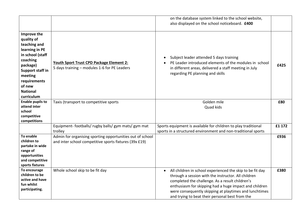|                                                                                                                                                                                                          |                                                                                                                     | on the database system linked to the school website,<br>also displayed on the school noticeboard. £400                                                                                                                                                                                                                                     |        |
|----------------------------------------------------------------------------------------------------------------------------------------------------------------------------------------------------------|---------------------------------------------------------------------------------------------------------------------|--------------------------------------------------------------------------------------------------------------------------------------------------------------------------------------------------------------------------------------------------------------------------------------------------------------------------------------------|--------|
| Improve the<br>quality of<br>teaching and<br>learning in PE<br>in school (staff<br>coaching<br>package)<br><b>Support staff in</b><br>meeting<br>requirements<br>of new<br><b>National</b><br>curriculum | Youth Sport Trust CPD Package Element 2:<br>5 days training - modules 1-6 for PE Leaders                            | Subject leader attended 5 days training<br>PE Leader introduced elements of the modules in school<br>in different areas, delivered a staff meeting in July<br>regarding PE planning and skills                                                                                                                                             | £425   |
| <b>Enable pupils to</b><br>attend inter<br>school<br>competitive<br>competitions                                                                                                                         | Taxis (transport to competitive sports                                                                              | Golden mile<br>Quad kids                                                                                                                                                                                                                                                                                                                   | £80    |
|                                                                                                                                                                                                          | Equipment-footballs/rugby balls/gym mats/gym mat<br>trolley                                                         | Sports equipment is available for children to play traditional<br>sports in a structured environment and non-traditional sports                                                                                                                                                                                                            | £1 172 |
| To enable<br>children to<br>partake in wide<br>range of<br>opportunities<br>and competitive<br>sports fixtures                                                                                           | Admin for organising sporting opportunities out of school<br>and inter school competitive sports fixtures (39x £19) |                                                                                                                                                                                                                                                                                                                                            | £936   |
| To encourage<br>children to be<br>active and have<br>fun whilst<br>participating.                                                                                                                        | Whole school skip to be fit day                                                                                     | All children in school experienced the skip to be fit day<br>through a session with the instructor. All children<br>completed the challenge. As a result children's<br>enthusiasm for skipping had a huge impact and children<br>were consequently skipping at playtimes and lunchtimes<br>and trying to beat their personal best from the | £380   |